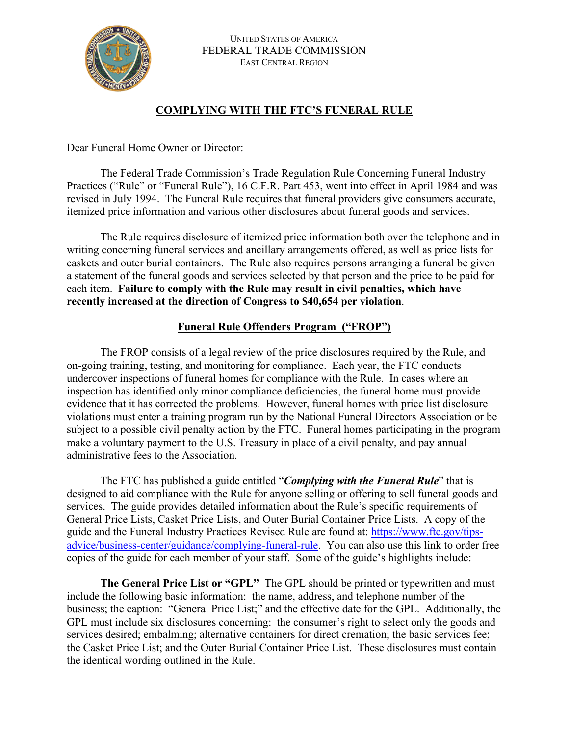

## **COMPLYING WITH THE FTC'S FUNERAL RULE**

Dear Funeral Home Owner or Director:

The Federal Trade Commission's Trade Regulation Rule Concerning Funeral Industry Practices ("Rule" or "Funeral Rule"), 16 C.F.R. Part 453, went into effect in April 1984 and was revised in July 1994. The Funeral Rule requires that funeral providers give consumers accurate, itemized price information and various other disclosures about funeral goods and services.

The Rule requires disclosure of itemized price information both over the telephone and in writing concerning funeral services and ancillary arrangements offered, as well as price lists for caskets and outer burial containers. The Rule also requires persons arranging a funeral be given a statement of the funeral goods and services selected by that person and the price to be paid for each item. **Failure to comply with the Rule may result in civil penalties, which have recently increased at the direction of Congress to \$40,654 per violation**.

## **Funeral Rule Offenders Program ("FROP")**

The FROP consists of a legal review of the price disclosures required by the Rule, and on-going training, testing, and monitoring for compliance. Each year, the FTC conducts undercover inspections of funeral homes for compliance with the Rule. In cases where an inspection has identified only minor compliance deficiencies, the funeral home must provide evidence that it has corrected the problems. However, funeral homes with price list disclosure violations must enter a training program run by the National Funeral Directors Association or be subject to a possible civil penalty action by the FTC. Funeral homes participating in the program make a voluntary payment to the U.S. Treasury in place of a civil penalty, and pay annual administrative fees to the Association.

The FTC has published a guide entitled "*Complying with the Funeral Rule*" that is designed to aid compliance with the Rule for anyone selling or offering to sell funeral goods and services. The guide provides detailed information about the Rule's specific requirements of General Price Lists, Casket Price Lists, and Outer Burial Container Price Lists. A copy of the guide and the Funeral Industry Practices Revised Rule are found at: https://www.ftc.gov/tipsadvice/business-center/guidance/complying-funeral-rule. You can also use this link to order free copies of the guide for each member of your staff. Some of the guide's highlights include:

**The General Price List or "GPL"** The GPL should be printed or typewritten and must include the following basic information: the name, address, and telephone number of the business; the caption: "General Price List;" and the effective date for the GPL. Additionally, the GPL must include six disclosures concerning: the consumer's right to select only the goods and services desired; embalming; alternative containers for direct cremation; the basic services fee; the Casket Price List; and the Outer Burial Container Price List. These disclosures must contain the identical wording outlined in the Rule.